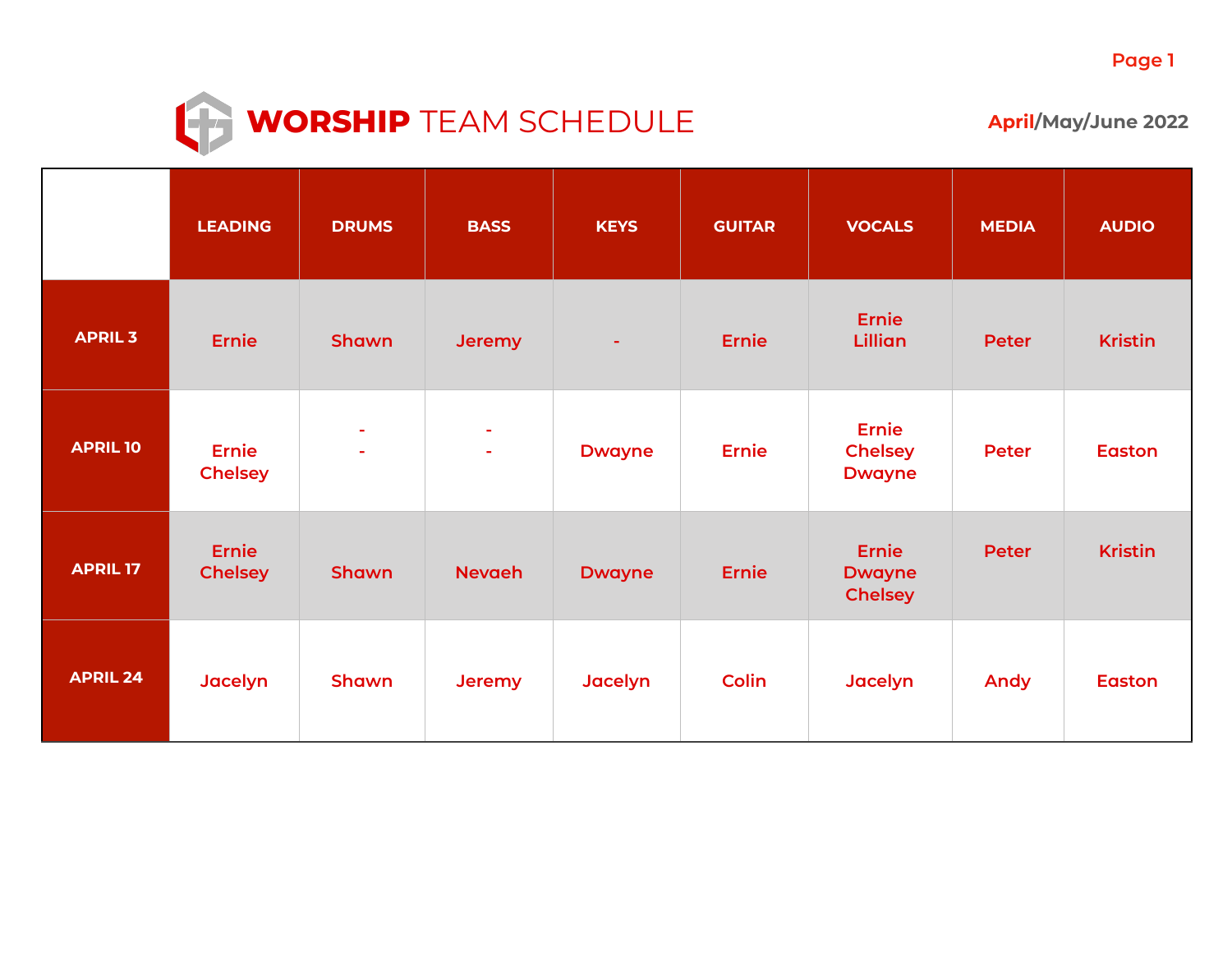

## **WORSHIP**  $TEAM$  SCHEDULE **April/May/June 2022**

|                 | <b>LEADING</b>                 | <b>DRUMS</b>     | <b>BASS</b>       | <b>KEYS</b>   | <b>GUITAR</b> | <b>VOCALS</b>                                   | <b>MEDIA</b> | <b>AUDIO</b>   |
|-----------------|--------------------------------|------------------|-------------------|---------------|---------------|-------------------------------------------------|--------------|----------------|
| <b>APRIL 3</b>  | <b>Ernie</b>                   | Shawn            | <b>Jeremy</b>     | ÷             | <b>Ernie</b>  | <b>Ernie</b><br><b>Lillian</b>                  | Peter        | <b>Kristin</b> |
| <b>APRIL 10</b> | <b>Ernie</b><br><b>Chelsey</b> | $\sim$<br>$\sim$ | ÷<br>$\mathbf{r}$ | <b>Dwayne</b> | <b>Ernie</b>  | <b>Ernie</b><br><b>Chelsey</b><br><b>Dwayne</b> | <b>Peter</b> | <b>Easton</b>  |
| <b>APRIL 17</b> | <b>Ernie</b><br><b>Chelsey</b> | Shawn            | <b>Nevaeh</b>     | <b>Dwayne</b> | <b>Ernie</b>  | <b>Ernie</b><br><b>Dwayne</b><br><b>Chelsey</b> | <b>Peter</b> | <b>Kristin</b> |
| <b>APRIL 24</b> | Jacelyn                        | Shawn            | Jeremy            | Jacelyn       | <b>Colin</b>  | Jacelyn                                         | Andy         | <b>Easton</b>  |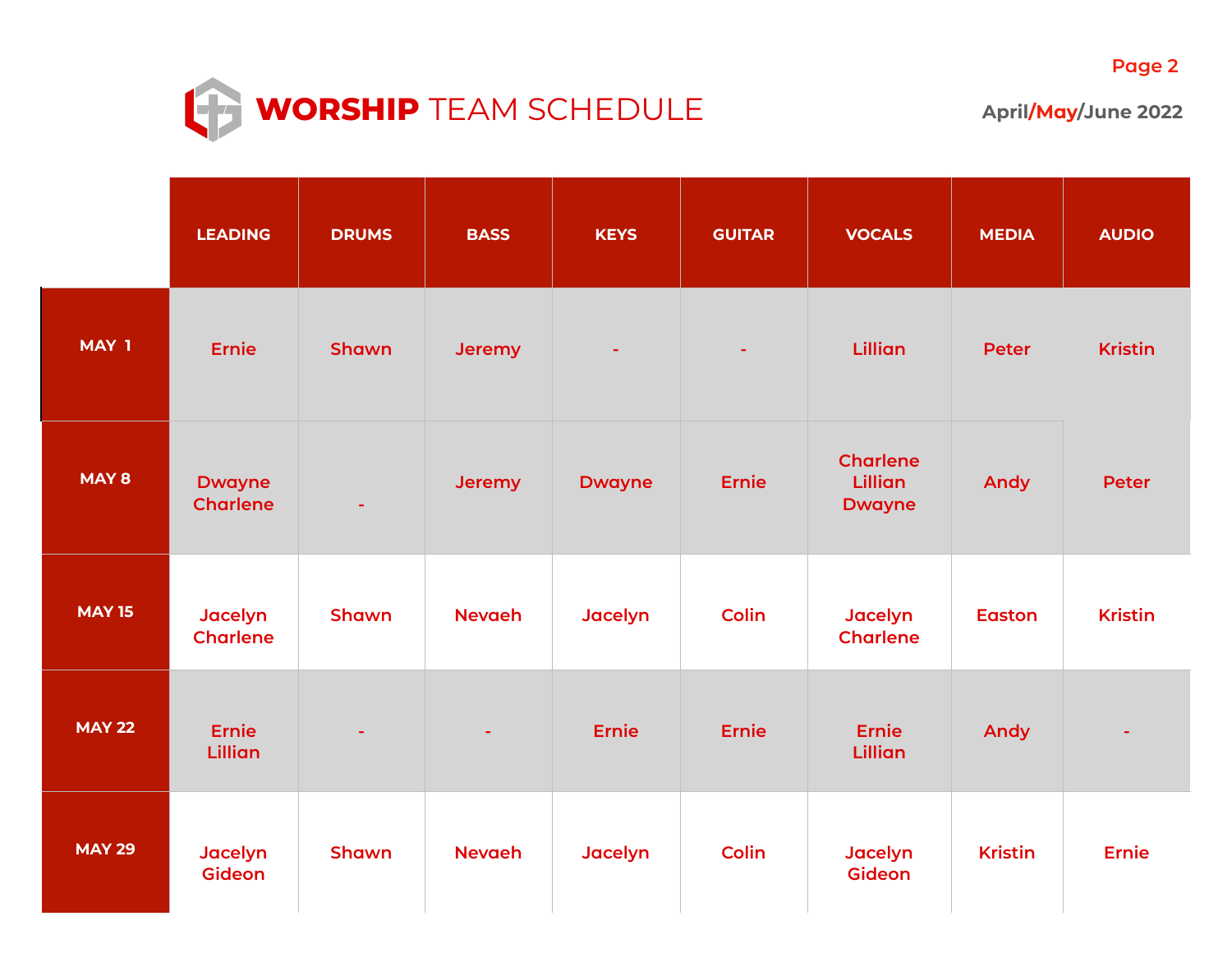

|               | <b>LEADING</b>                   | <b>DRUMS</b> | <b>BASS</b>   | <b>KEYS</b>   | <b>GUITAR</b>  | <b>VOCALS</b>                                      | <b>MEDIA</b>   | <b>AUDIO</b>   |
|---------------|----------------------------------|--------------|---------------|---------------|----------------|----------------------------------------------------|----------------|----------------|
| MAY 1         | <b>Ernie</b>                     | Shawn        | <b>Jeremy</b> |               | $\blacksquare$ | Lillian                                            | <b>Peter</b>   | <b>Kristin</b> |
| MAY 8         | <b>Dwayne</b><br><b>Charlene</b> |              | Jeremy        | <b>Dwayne</b> | <b>Ernie</b>   | <b>Charlene</b><br><b>Lillian</b><br><b>Dwayne</b> | <b>Andy</b>    | <b>Peter</b>   |
| <b>MAY 15</b> | Jacelyn<br><b>Charlene</b>       | Shawn        | <b>Nevaeh</b> | Jacelyn       | <b>Colin</b>   | Jacelyn<br><b>Charlene</b>                         | <b>Easton</b>  | <b>Kristin</b> |
| <b>MAY 22</b> | <b>Ernie</b><br><b>Lillian</b>   |              | ٠             | <b>Ernie</b>  | <b>Ernie</b>   | <b>Ernie</b><br>Lillian                            | Andy           |                |
| <b>MAY 29</b> | Jacelyn<br><b>Gideon</b>         | Shawn        | <b>Nevaeh</b> | Jacelyn       | <b>Colin</b>   | Jacelyn<br>Gideon                                  | <b>Kristin</b> | <b>Ernie</b>   |